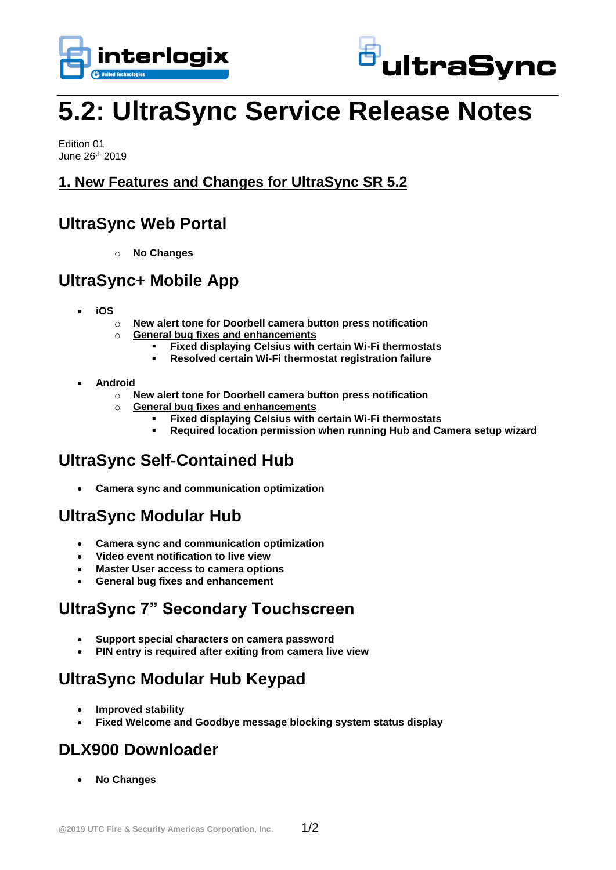



# **5.2: UltraSync Service Release Notes**

Edition 01 June 26th 2019

#### **1. New Features and Changes for UltraSync SR 5.2**

## **UltraSync Web Portal**

o **No Changes**

## **UltraSync+ Mobile App**

- **iOS**
	- o **New alert tone for Doorbell camera button press notification**
	- o **General bug fixes and enhancements**
		- **Fixed displaying Celsius with certain Wi-Fi thermostats**
		- **Resolved certain Wi-Fi thermostat registration failure**
- **Android**
	- o **New alert tone for Doorbell camera button press notification**
	- o **General bug fixes and enhancements**
		- **Fixed displaying Celsius with certain Wi-Fi thermostats**
		- **Required location permission when running Hub and Camera setup wizard**

# **UltraSync Self-Contained Hub**

**Camera sync and communication optimization**

## **UltraSync Modular Hub**

- **Camera sync and communication optimization**
- **Video event notification to live view**
- **Master User access to camera options**
- **General bug fixes and enhancement**

# **UltraSync 7" Secondary Touchscreen**

- **Support special characters on camera password**
- **PIN entry is required after exiting from camera live view**

# **UltraSync Modular Hub Keypad**

- **Improved stability**
- **Fixed Welcome and Goodbye message blocking system status display**

## **DLX900 Downloader**

**No Changes**